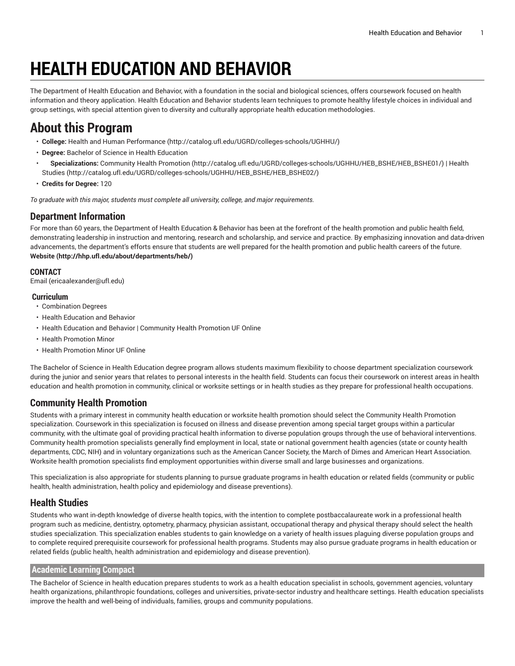# **HEALTH EDUCATION AND BEHAVIOR**

The Department of Health Education and Behavior, with a foundation in the social and biological sciences, offers coursework focused on health information and theory application. Health Education and Behavior students learn techniques to promote healthy lifestyle choices in individual and group settings, with special attention given to diversity and culturally appropriate health education methodologies.

# **About this Program**

- **College:** Health and Human [Performance](http://catalog.ufl.edu/UGRD/colleges-schools/UGHHU/) (<http://catalog.ufl.edu/UGRD/colleges-schools/UGHHU/>)
- **Degree:** Bachelor of Science in Health Education
- **Specializations:** [Community](http://catalog.ufl.edu/UGRD/colleges-schools/UGHHU/HEB_BSHE/HEB_BSHE01/) Health Promotion ([http://catalog.ufl.edu/UGRD/colleges-schools/UGHHU/HEB\\_BSHE/HEB\\_BSHE01/](http://catalog.ufl.edu/UGRD/colleges-schools/UGHHU/HEB_BSHE/HEB_BSHE01/)) | [Health](http://catalog.ufl.edu/UGRD/colleges-schools/UGHHU/HEB_BSHE/HEB_BSHE02/) [Studies](http://catalog.ufl.edu/UGRD/colleges-schools/UGHHU/HEB_BSHE/HEB_BSHE02/) ([http://catalog.ufl.edu/UGRD/colleges-schools/UGHHU/HEB\\_BSHE/HEB\\_BSHE02/](http://catalog.ufl.edu/UGRD/colleges-schools/UGHHU/HEB_BSHE/HEB_BSHE02/))
- **Credits for Degree:** 120

*To graduate with this major, students must complete all university, college, and major requirements.*

## **Department Information**

For more than 60 years, the Department of Health Education & Behavior has been at the forefront of the health promotion and public health field, demonstrating leadership in instruction and mentoring, research and scholarship, and service and practice. By emphasizing innovation and data-driven advancements, the department's efforts ensure that students are well prepared for the health promotion and public health careers of the future. **[Website](http://hhp.ufl.edu/about/departments/heb/) ([http://hhp.ufl.edu/about/departments/heb/\)](http://hhp.ufl.edu/about/departments/heb/)**

### **CONTACT**

[Email](mailto:ericaalexander@ufl.edu) (<ericaalexander@ufl.edu>)

### **Curriculum**

- Combination Degrees
- Health Education and Behavior
- Health Education and Behavior | Community Health Promotion UF Online
- Health Promotion Minor
- Health Promotion Minor UF Online

The Bachelor of Science in Health Education degree program allows students maximum flexibility to choose department specialization coursework during the junior and senior years that relates to personal interests in the health field. Students can focus their coursework on interest areas in health education and health promotion in community, clinical or worksite settings or in health studies as they prepare for professional health occupations.

## **Community Health Promotion**

Students with a primary interest in community health education or worksite health promotion should select the Community Health Promotion specialization. Coursework in this specialization is focused on illness and disease prevention among special target groups within a particular community, with the ultimate goal of providing practical health information to diverse population groups through the use of behavioral interventions. Community health promotion specialists generally find employment in local, state or national government health agencies (state or county health departments, CDC, NIH) and in voluntary organizations such as the American Cancer Society, the March of Dimes and American Heart Association. Worksite health promotion specialists find employment opportunities within diverse small and large businesses and organizations.

This specialization is also appropriate for students planning to pursue graduate programs in health education or related fields (community or public health, health administration, health policy and epidemiology and disease preventions).

### **Health Studies**

Students who want in-depth knowledge of diverse health topics, with the intention to complete postbaccalaureate work in a professional health program such as medicine, dentistry, optometry, pharmacy, physician assistant, occupational therapy and physical therapy should select the health studies specialization. This specialization enables students to gain knowledge on a variety of health issues plaguing diverse population groups and to complete required prerequisite coursework for professional health programs. Students may also pursue graduate programs in health education or related fields (public health, health administration and epidemiology and disease prevention).

#### **Academic Learning Compact**

The Bachelor of Science in health education prepares students to work as a health education specialist in schools, government agencies, voluntary health organizations, philanthropic foundations, colleges and universities, private-sector industry and healthcare settings. Health education specialists improve the health and well-being of individuals, families, groups and community populations.